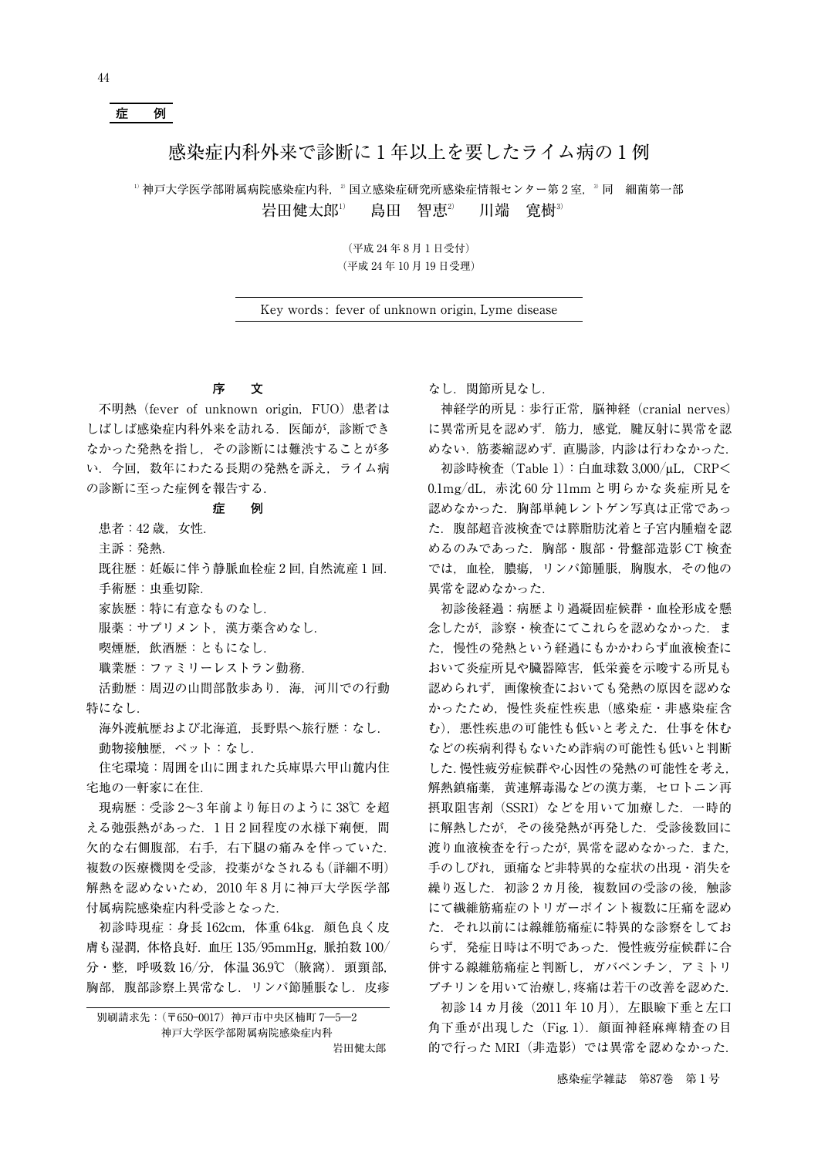# **症 例**

## 感染症内科外来で診断に 1 年以上を要したライム病の 1 例

<sup>1</sup>神戸大学医学部附属病院感染症内科, <sup>2)</sup>国立感染症研究所感染症情報センター第 2 室, <sup>3</sup> 同 細菌第一部 岩田健太郎<sup>1)</sup> 島田 智恵<sup>2)</sup> 川端 寛樹<sup>3)</sup>

> (平成 24 年 8 月 1 日受付) (平成 24 年 10 月 19 日受理)

Key words : fever of unknown origin, Lyme disease

### **序 文**

不明熱(fever of unknown origin,FUO)患者は しばしば感染症内科外来を訪れる.医師が,診断でき なかった発熱を指し,その診断には難渋することが多 い.今回,数年にわたる長期の発熱を訴え,ライム病 の診断に至った症例を報告する.

#### **症 例**

患者: 42 歳. 女性.

主訴:発熱.

既往歴:妊娠に伴う静脈血栓症 2 回,自然流産 1 回.

手術歴:虫垂切除.

家族歴:特に有意なものなし.

服薬:サプリメント. 漢方薬含めなし.

喫煙歴,飲酒歴:ともになし.

職業歴:ファミリーレストラン勤務.

活動歴:周辺の山間部散歩あり. 海, 河川での行動 特になし.

海外渡航歴および北海道,長野県へ旅行歴:なし. 動物接触歴,ペット:なし.

住宅環境:周囲を山に囲まれた兵庫県六甲山麓内住 宅地の一軒家に在住.

現病歴:受診 2~3 年前より毎日のように 38℃ を超 える弛張熱があった. 1日2回程度の水様下痢便, 間 欠的な右側腹部,右手,右下腿の痛みを伴っていた. 複数の医療機関を受診,投薬がなされるも(詳細不明) 解熱を認めないため、2010年8月に神戸大学医学部 付属病院感染症内科受診となった.

初診時現症:身長 162cm, 体重 64kg. 顔色良く皮 膚も湿潤, 体格良好. 血圧 135/95mmHg, 脈拍数 100/ 分・整,呼吸数 16/分,体温 36.9℃(腋窩).頭頸部, 胸部, 腹部診察上異常なし. リンパ節腫脹なし. 皮疹

別刷請求先:(〒650―0017)神戸市中央区楠町 7―5―2 神戸大学医学部附属病院感染症内科

岩田健太郎

なし.関節所見なし.

神経学的所見:歩行正常,脳神経(cranial nerves) に異常所見を認めず. 筋力, 感覚, 腱反射に異常を認 めない.筋萎縮認めず. 直腸診. 内診は行わなかった.

初診時検査(Table 1):白血球数 3,000/μL,CRP< 0.1mg-dL,赤沈 60 分 11mm と明らかな炎症所見を 認めなかった.胸部単純レントゲン写真は正常であっ た.腹部超音波検査では膵脂肪沈着と子宮内腫瘤を認 めるのみであった.胸部・腹部・骨盤部造影 CT 検査 では,血栓,膿瘍,リンパ節腫脹,胸腹水,その他の 異常を認めなかった.

初診後経過:病歴より過凝固症候群・血栓形成を懸 念したが,診察・検査にてこれらを認めなかった.ま た,慢性の発熱という経過にもかかわらず血液検査に おいて炎症所見や臓器障害,低栄養を示唆する所見も 認められず,画像検査においても発熱の原因を認めな かったため,慢性炎症性疾患(感染症・非感染症含 む). 悪性疾患の可能性も低いと考えた. 仕事を休む などの疾病利得もないため詐病の可能性も低いと判断 した.慢性疲労症候群や心因性の発熱の可能性を考え, 解熱鎮痛薬,黄連解毒湯などの漢方薬,セロトニン再 摂取阻害剤 (SSRI) などを用いて加療した. 一時的 に解熱したが,その後発熱が再発した.受診後数回に 渡り血液検査を行ったが、異常を認めなかった. また, 手のしびれ,頭痛など非特異的な症状の出現・消失を 繰り返した. 初診 2 カ月後, 複数回の受診の後, 触診 にて繊維筋痛症のトリガーポイント複数に圧痛を認め た.それ以前には線維筋痛症に特異的な診察をしてお らず,発症日時は不明であった.慢性疲労症候群に合 併する線維筋痛症と判断し,ガバペンチン,アミトリ プチリンを用いて治療し,疼痛は若干の改善を認めた.

初診 14 カ月後(2011 年 10 月),左眼瞼下垂と左口 角下垂が出現した (Fig. 1). 顔面神経麻痺精査の目 的で行った MRI(非造影)では異常を認めなかった.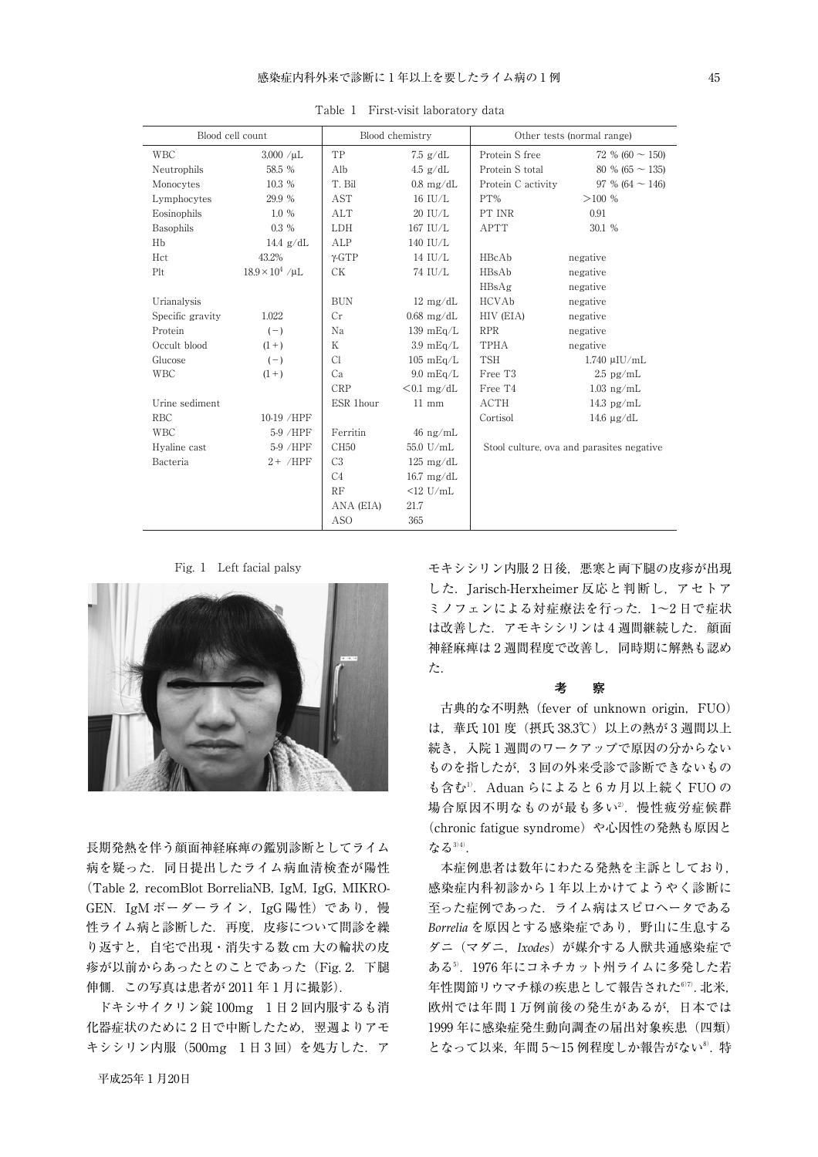| Blood cell count |                        | Blood chemistry  |                      | Other tests (normal range) |                                           |  |
|------------------|------------------------|------------------|----------------------|----------------------------|-------------------------------------------|--|
| <b>WBC</b>       | $3,000 / \mu L$        | TP               | $7.5$ g/dL           | Protein S free             | 72 % (60 $\sim$ 150)                      |  |
| Neutrophils      | 58.5 %                 | Alb              | $4.5$ g/dL           | Protein S total            | 80 % (65 $\sim$ 135)                      |  |
| Monocytes        | 10.3 %                 | T. Bil           | $0.8 \text{ mg/dL}$  | Protein C activity         | 97 % (64 $\sim$ 146)                      |  |
| Lymphocytes      | 29.9 %                 | <b>AST</b>       | $16$ $\mathrm{IU/L}$ | PT%                        | >100%                                     |  |
| Eosinophils      | 1.0%                   | <b>ALT</b>       | 20 IU/L              | PT INR                     | 0.91                                      |  |
| Basophils        | $0.3\%$                | <b>LDH</b>       | 167 IU/L             | <b>APTT</b>                | 30.1 %                                    |  |
| Hb               | 14.4 $g/dL$            | ALP              | 140 IU/L             |                            |                                           |  |
| Hct              | 43.2%                  | $\gamma$ -GTP    | 14 IU/L              | HBcAb                      | negative                                  |  |
| Plt              | $18.9 \times 10^4$ /µL | <b>CK</b>        | 74 IU/L              | HBsAb                      | negative                                  |  |
|                  |                        |                  |                      | HBsAg                      | negative                                  |  |
| Urianalysis      |                        | <b>BUN</b>       | $12 \text{ mg/dL}$   | HCVAb                      | negative                                  |  |
| Specific gravity | 1.022                  | Cr               | $0.68$ mg/dL         | HIV (EIA)                  | negative                                  |  |
| Protein          | $(-)$                  | Na               | $139 \text{ mEq/L}$  | <b>RPR</b>                 | negative                                  |  |
| Occult blood     | $(1 + )$               | K                | $3.9 \text{ mEq/L}$  | TPHA                       | negative                                  |  |
| Glucose          | $(-)$                  | Cl               | $105 \text{ mEq/L}$  | <b>TSH</b>                 | $1.740 \mu I U/mL$                        |  |
| <b>WBC</b>       | $(1 + )$               | Ca               | $9.0 \text{ mEq/L}$  | Free T <sub>3</sub>        | $2.5$ pg/mL                               |  |
|                  |                        | <b>CRP</b>       | $< 0.1$ mg/dL        | Free T4                    | $1.03$ ng/mL                              |  |
| Urine sediment   |                        | ESR 1hour        | $11 \text{ mm}$      | ACTH                       | 14.3 $pg/mL$                              |  |
| <b>RBC</b>       | 10-19 /HPF             |                  |                      | Cortisol                   | 14.6 $\mu$ g/dL                           |  |
| <b>WBC</b>       | $5-9$ /HPF             | Ferritin         | $46$ ng/mL           |                            |                                           |  |
| Hyaline cast     | 5-9 /HPF               | CH <sub>50</sub> | 55.0 U/mL            |                            | Stool culture, ova and parasites negative |  |
| Bacteria         | $2+$ /HPF              | C <sub>3</sub>   | $125 \text{ mg/dL}$  |                            |                                           |  |
|                  |                        | C <sub>4</sub>   | $16.7 \text{ mg/dL}$ |                            |                                           |  |
|                  |                        | RF               | $<12$ U/mL           |                            |                                           |  |
|                  |                        | ANA (EIA)        | 21.7                 |                            |                                           |  |
|                  |                        | <b>ASO</b>       | 365                  |                            |                                           |  |

Table 1 First-visit laboratory data

Fig. 1 Left facial palsy



長期発熱を伴う顔面神経麻痺の鑑別診断としてライム 病を疑った. 同日提出したライム病血清検査が陽性 (Table 2, recomBlot BorreliaNB, IgM, IgG, MIKRO-GEN. IgM ボーダーライン, IgG 陽性) であり, 慢 性ライム病と診断した.再度,皮疹について問診を繰 り返すと,自宅で出現・消失する数 cm 大の輪状の皮 疹が以前からあったとのことであった(Fig. 2.下腿 伸側.この写真は患者が 2011 年 1 月に撮影).

ドキシサイクリン錠 100mg 1 日 2 回内服するも消 化器症状のために2日で中断したため、翌週よりアモ キシシリン内服 (500mg 1日3回) を処方した. ア

平成25年 1 月20日

モキシシリン内服2日後、悪寒と両下腿の皮疹が出現 した. Jarisch-Herxheimer 反応と判断し、アセトア ミノフェンによる対症療法を行った. 1~2日で症状 は改善した. アモキシシリンは 4 週間継続した. 顔面 神経麻痺は 2 週間程度で改善し,同時期に解熱も認め た.

#### **考 察**

古典的な不明熱 (fever of unknown origin, FUO) は、華氏 101 度 (摂氏 38.3℃)以上の熱が 3 週間以上 続き、入院1週間のワークアップで原因の分からない ものを指したが,3 回の外来受診で診断できないもの も含む<sup>1)</sup>.Aduan らによると6カ月以上続く FUO の 場合原因不明なものが最も多い2) .慢性疲労症候群 (chronic fatigue syndrome) や心因性の発熱も原因と なる3)4).

本症例患者は数年にわたる発熱を主訴としており, 感染症内科初診から 1 年以上かけてようやく診断に 至った症例であった.ライム病はスピロヘータである *Borrelia* を原因とする感染症であり,野山に生息する ダニ(マダニ,*Ixodes*)が媒介する人獣共通感染症で ある5) .1976 年にコネチカット州ライムに多発した若 年性関節リウマチ様の疾患として報告された<sup>677</sup>. 北米, 欧州では年間1万例前後の発生があるが、日本では 1999 年に感染症発生動向調査の届出対象疾患(四類) となって以来, 年間 5~15 例程度しか報告がない<sup>8)</sup>. 特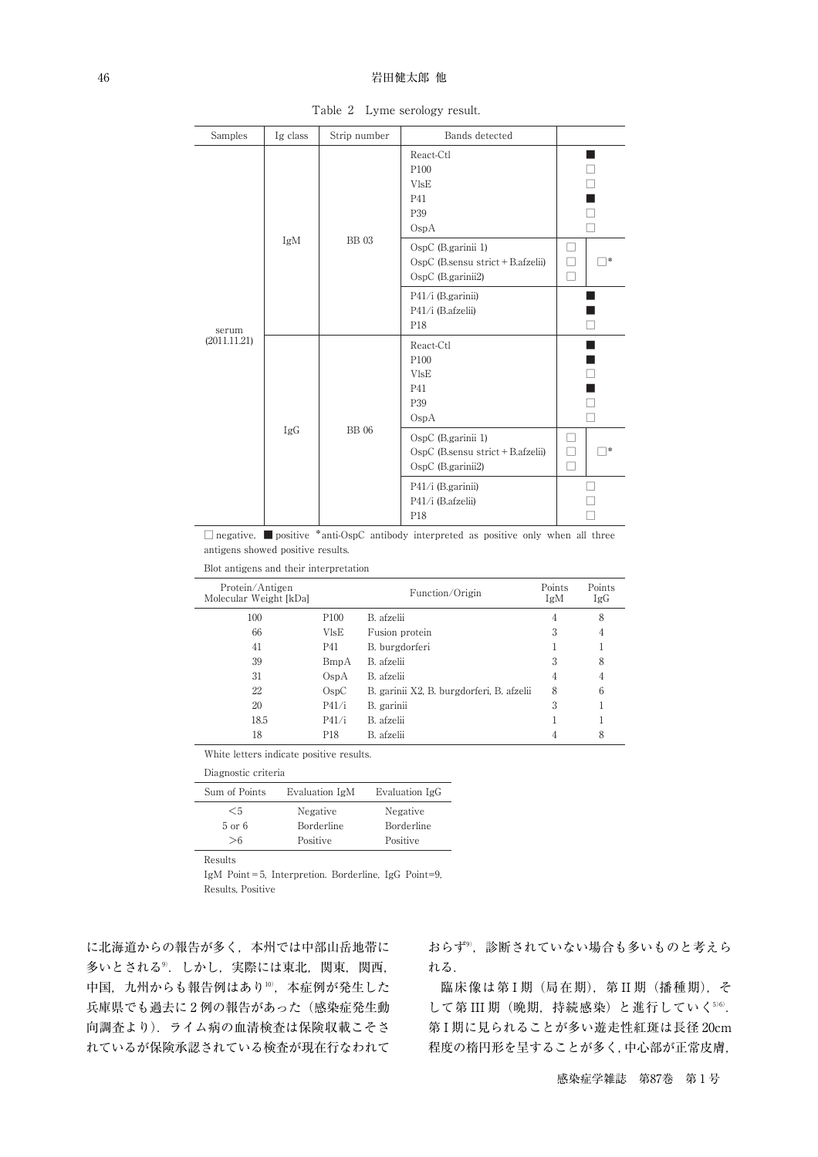#### 46 またり おおとこ おおとこ おおとこ おおとこ 岩田健太郎 他

| Samples               | Ig class | Strip number | Bands detected                                                               |               |  |
|-----------------------|----------|--------------|------------------------------------------------------------------------------|---------------|--|
| serum<br>(2011.11.21) |          |              | React-Ctl<br>P100<br><b>VIsE</b><br>P41<br>P39<br>O <sub>SP</sub> A          |               |  |
|                       | IgM      | <b>BB</b> 03 | OspC (B.garinii 1)<br>OspC (B.sensu strict + B.afzelii)<br>OspC (B.garinii2) | - 1<br>*<br>┐ |  |
|                       |          |              | P41/i (B.garinii)<br>P41/i (B.afzelii)<br>P18                                | П             |  |
|                       | IgG      |              | React-Ctl<br>P100<br><b>VIsE</b><br>P41<br>P39<br>OspA                       | ⊐             |  |
|                       |          | <b>BB</b> 06 | OspC (B.garinii 1)<br>OspC (B.sensu strict + B.afzelii)<br>OspC (B.garinii2) | *<br>┐<br>П   |  |
|                       |          |              | P41/i (B.garinii)<br>P41/i (B.afzelii)<br>P18                                |               |  |

Table 2 Lyme serology result.

□ negative,■ positive \*anti-OspC antibody interpreted as positive only when all three antigens showed positive results.

Blot antigens and their interpretation

| Protein/Antigen<br>Molecular Weight [kDa] |                   | Function/Origin                           | Points<br>IgM | Points<br>IgG |
|-------------------------------------------|-------------------|-------------------------------------------|---------------|---------------|
| 100                                       | P <sub>100</sub>  | B. afzelii                                | 4             | 8             |
| 66                                        | VlsE              | Fusion protein                            | 3             | 4             |
| 41                                        | <b>P41</b>        | B. burgdorferi                            |               |               |
| 39                                        | BmpA              | B. afzelii                                | 3             | 8             |
| 31                                        | O <sub>SD</sub> A | B. afzelii                                | 4             | 4             |
| 22                                        | O <sub>SD</sub> C | B. garinii X2, B. burgdorferi, B. afzelii | 8             | 6             |
| 20                                        | P41/i             | B. garinii                                | 3             |               |
| 18.5                                      | P41/i             | B. afzelii                                |               |               |
| 18                                        | P18               | B. afzelii                                |               | 8             |

White letters indicate positive results.

| Diagnostic criteria |       |  |  |  |  |
|---------------------|-------|--|--|--|--|
|                     | - - - |  |  |  |  |

|            | Evaluation IgG |
|------------|----------------|
| Negative   | Negative       |
| Borderline | Borderline     |
| Positive   | Positive       |
|            | Evaluation IgM |

Results

IgM Point=5, Interpretion. Borderline, IgG Point=9, Results, Positive

に北海道からの報告が多く,本州では中部山岳地帯に 多いとされる®.しかし,実際には東北,関東,関西, 中国,九州からも報告例はあり"0',本症例が発生した 兵庫県でも過去に 2 例の報告があった(感染症発生動 向調査より).ライム病の血清検査は保険収載こそさ れているが保険承認されている検査が現在行なわれて

おらず9) ,診断されていない場合も多いものと考えら れる.

臨床像は第 I 期 (局在期), 第 II 期 (播種期), そ して第 III 期(晩期,持続感染)と進行していく<sup>560</sup>. 第 I 期に見られることが多い遊走性紅斑は長径 20cm 程度の楕円形を呈することが多く,中心部が正常皮膚,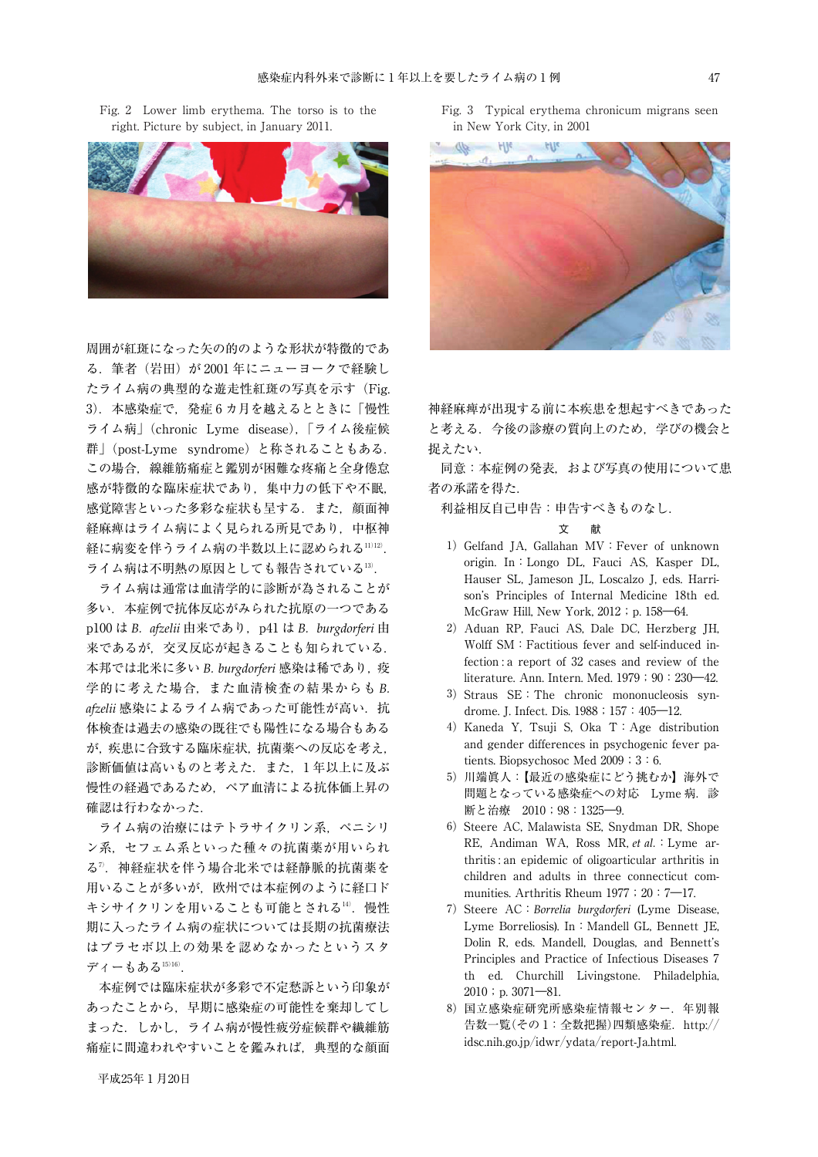Fig. 2 Lower limb erythema. The torso is to the right. Picture by subject, in January 2011.



周囲が紅斑になった矢の的のような形状が特徴的であ る. 筆者(岩田)が 2001年にニューヨークで経験し たライム病の典型的な遊走性紅斑の写真を示す(Fig. 3).本感染症で,発症 6 カ月を越えるとときに「慢性 ライム病」(chronic Lyme disease),「ライム後症候 群」(post-Lyme syndrome)と称されることもある. この場合,線維筋痛症と鑑別が困難な疼痛と全身倦怠 感が特徴的な臨床症状であり,集中力の低下や不眠, 感覚障害といった多彩な症状も呈する.また,顔面神 経麻痺はライム病によく見られる所見であり,中枢神 経に病変を伴うライム病の半数以上に認められる''')'2'). ライム病は不明熱の原因としても報告されている13) .

ライム病は通常は血清学的に診断が為されることが 多い.本症例で抗体反応がみられた抗原の一つである p100 は *B. afzelii* 由来であり, p41 は *B. burgdorferi* 由 来であるが,交叉反応が起きることも知られている. 本邦では北米に多い *B. burgdorferi* 感染は稀であり,疫 学的に考えた場合,また血清検査の結果からも *B.* afzelii 感染によるライム病であった可能性が高い. 抗 体検査は過去の感染の既往でも陽性になる場合もある が,疾患に合致する臨床症状,抗菌薬への反応を考え, 診断価値は高いものと考えた.また,1 年以上に及ぶ 慢性の経過であるため,ペア血清による抗体価上昇の 確認は行わなかった.

ライム病の治療にはテトラサイクリン系,ペニシリ ン系,セフェム系といった種々の抗菌薬が用いられ る7) .神経症状を伴う場合北米では経静脈的抗菌薬を 用いることが多いが,欧州では本症例のように経口ド キシサイクリンを用いることも可能とされる14).慢性 期に入ったライム病の症状については長期の抗菌療法 はプラセボ以上の効果を認めなかったというスタ ディーもある15)16) .

本症例では臨床症状が多彩で不定愁訴という印象が あったことから,早期に感染症の可能性を棄却してし まった.しかし,ライム病が慢性疲労症候群や繊維筋 痛症に間違われやすいことを鑑みれば,典型的な顔面

Fig. 3 Typical erythema chronicum migrans seen in New York City, in 2001



神経麻痺が出現する前に本疾患を想起すべきであった と考える.今後の診療の質向上のため,学びの機会と 捉えたい.

同意:本症例の発表,および写真の使用について患 者の承諾を得た.

利益相反自己申告:申告すべきものなし.

- 1) Gelfand JA, Gallahan MV: Fever of unknown origin. In:Longo DL, Fauci AS, Kasper DL, Hauser SL, Jameson JL, Loscalzo J, eds. Harrison's Principles of Internal Medicine 18th ed. McGraw Hill, New York, 2012; p. 158–64.
- 2)Aduan RP, Fauci AS, Dale DC, Herzberg JH, Wolff SM:Factitious fever and self-induced infection : a report of 32 cases and review of the literature. Ann. Intern. Med. 1979;90:230-42.
- 3) Straus SE: The chronic mononucleosis syndrome. J. Infect. Dis. 1988;157:405—12.
- 4)Kaneda Y, Tsuji S, Oka T:Age distribution and gender differences in psychogenic fever patients. Biopsychosoc Med  $2009$ ;  $3:6$ .
- 5)川端眞人:【最近の感染症にどう挑むか】海外で 問題となっている感染症への対応 Lyme 病. 診 断と治療 2010;98:1325―9.
- 6) Steere AC, Malawista SE, Snydman DR, Shope RE, Andiman WA, Ross MR, *et al.*:Lyme arthritis : an epidemic of oligoarticular arthritis in children and adults in three connecticut communities. Arthritis Rheum 1977; 20:7-17.
- 7)Steere AC:*Borrelia burgdorferi* (Lyme Disease, Lyme Borreliosis). In: Mandell GL, Bennett JE, Dolin R, eds. Mandell, Douglas, and Bennett's Principles and Practice of Infectious Diseases 7 th ed. Churchill Livingstone. Philadelphia,  $2010$ ; p.  $3071 - 81$ .
- 8)国立感染症研究所感染症情報センター.年別報 告数一覧(その 1:全数把握)四類感染症.http:// idsc.nih.go.jp/idwr/ydata/report-Ja.html.

文 献